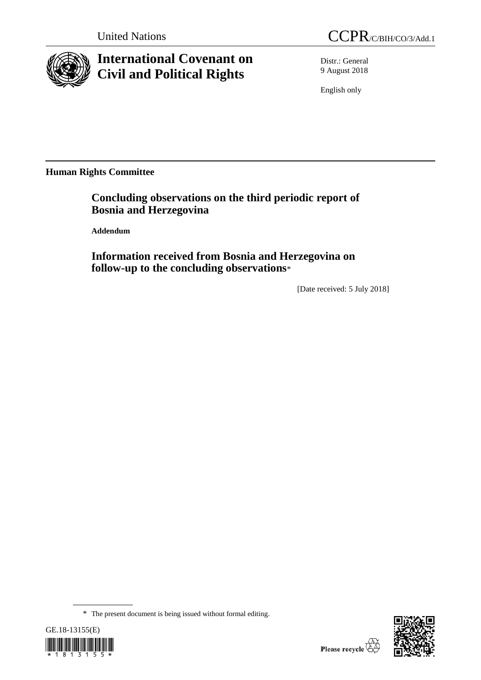

## **International Covenant on Civil and Political Rights**

Distr.: General 9 August 2018

English only

**Human Rights Committee**

**Concluding observations on the third periodic report of Bosnia and Herzegovina**

**Addendum**

**Information received from Bosnia and Herzegovina on follow-up to the concluding observations**\*

[Date received: 5 July 2018]

<sup>\*</sup> The present document is being issued without formal editing.



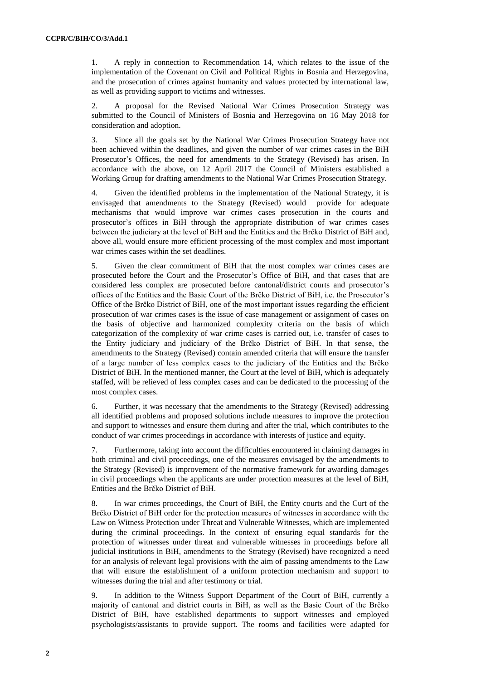1. A reply in connection to Recommendation 14, which relates to the issue of the implementation of the Covenant on Civil and Political Rights in Bosnia and Herzegovina, and the prosecution of crimes against humanity and values protected by international law, as well as providing support to victims and witnesses.

2. A proposal for the Revised National War Crimes Prosecution Strategy was submitted to the Council of Ministers of Bosnia and Herzegovina on 16 May 2018 for consideration and adoption.

3. Since all the goals set by the National War Crimes Prosecution Strategy have not been achieved within the deadlines, and given the number of war crimes cases in the BiH Prosecutor's Offices, the need for amendments to the Strategy (Revised) has arisen. In accordance with the above, on 12 April 2017 the Council of Ministers established a Working Group for drafting amendments to the National War Crimes Prosecution Strategy.

4. Given the identified problems in the implementation of the National Strategy, it is envisaged that amendments to the Strategy (Revised) would provide for adequate mechanisms that would improve war crimes cases prosecution in the courts and prosecutor's offices in BiH through the appropriate distribution of war crimes cases between the judiciary at the level of BiH and the Entities and the Brčko District of BiH and, above all, would ensure more efficient processing of the most complex and most important war crimes cases within the set deadlines.

5. Given the clear commitment of BiH that the most complex war crimes cases are prosecuted before the Court and the Prosecutor's Office of BiH, and that cases that are considered less complex are prosecuted before cantonal/district courts and prosecutor's offices of the Entities and the Basic Court of the Brčko District of BiH, i.e. the Prosecutor's Office of the Brčko District of BiH, one of the most important issues regarding the efficient prosecution of war crimes cases is the issue of case management or assignment of cases on the basis of objective and harmonized complexity criteria on the basis of which categorization of the complexity of war crime cases is carried out, i.e. transfer of cases to the Entity judiciary and judiciary of the Brčko District of BiH. In that sense, the amendments to the Strategy (Revised) contain amended criteria that will ensure the transfer of a large number of less complex cases to the judiciary of the Entities and the Brčko District of BiH. In the mentioned manner, the Court at the level of BiH, which is adequately staffed, will be relieved of less complex cases and can be dedicated to the processing of the most complex cases.

6. Further, it was necessary that the amendments to the Strategy (Revised) addressing all identified problems and proposed solutions include measures to improve the protection and support to witnesses and ensure them during and after the trial, which contributes to the conduct of war crimes proceedings in accordance with interests of justice and equity.

7. Furthermore, taking into account the difficulties encountered in claiming damages in both criminal and civil proceedings, one of the measures envisaged by the amendments to the Strategy (Revised) is improvement of the normative framework for awarding damages in civil proceedings when the applicants are under protection measures at the level of BiH, Entities and the Brčko District of BiH.

8. In war crimes proceedings, the Court of BiH, the Entity courts and the Curt of the Brčko District of BiH order for the protection measures of witnesses in accordance with the Law on Witness Protection under Threat and Vulnerable Witnesses, which are implemented during the criminal proceedings. In the context of ensuring equal standards for the protection of witnesses under threat and vulnerable witnesses in proceedings before all judicial institutions in BiH, amendments to the Strategy (Revised) have recognized a need for an analysis of relevant legal provisions with the aim of passing amendments to the Law that will ensure the establishment of a uniform protection mechanism and support to witnesses during the trial and after testimony or trial.

9. In addition to the Witness Support Department of the Court of BiH, currently a majority of cantonal and district courts in BiH, as well as the Basic Court of the Brčko District of BiH, have established departments to support witnesses and employed psychologists/assistants to provide support. The rooms and facilities were adapted for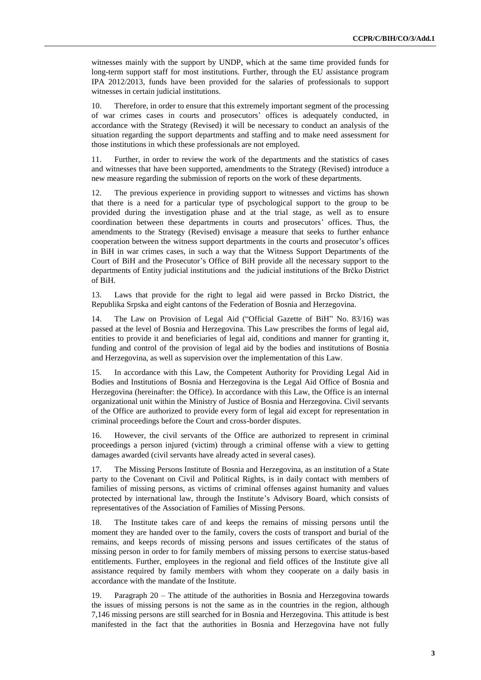witnesses mainly with the support by UNDP, which at the same time provided funds for long-term support staff for most institutions. Further, through the EU assistance program IPA 2012/2013, funds have been provided for the salaries of professionals to support witnesses in certain judicial institutions.

10. Therefore, in order to ensure that this extremely important segment of the processing of war crimes cases in courts and prosecutors' offices is adequately conducted, in accordance with the Strategy (Revised) it will be necessary to conduct an analysis of the situation regarding the support departments and staffing and to make need assessment for those institutions in which these professionals are not employed.

11. Further, in order to review the work of the departments and the statistics of cases and witnesses that have been supported, amendments to the Strategy (Revised) introduce a new measure regarding the submission of reports on the work of these departments.

12. The previous experience in providing support to witnesses and victims has shown that there is a need for a particular type of psychological support to the group to be provided during the investigation phase and at the trial stage, as well as to ensure coordination between these departments in courts and prosecutors' offices. Thus, the amendments to the Strategy (Revised) envisage a measure that seeks to further enhance cooperation between the witness support departments in the courts and prosecutor's offices in BiH in war crimes cases, in such a way that the Witness Support Departments of the Court of BiH and the Prosecutor's Office of BiH provide all the necessary support to the departments of Entity judicial institutions and the judicial institutions of the Brčko District of BiH.

13. Laws that provide for the right to legal aid were passed in Brcko District, the Republika Srpska and eight cantons of the Federation of Bosnia and Herzegovina.

14. The Law on Provision of Legal Aid ("Official Gazette of BiH" No. 83/16) was passed at the level of Bosnia and Herzegovina. This Law prescribes the forms of legal aid, entities to provide it and beneficiaries of legal aid, conditions and manner for granting it, funding and control of the provision of legal aid by the bodies and institutions of Bosnia and Herzegovina, as well as supervision over the implementation of this Law.

15. In accordance with this Law, the Competent Authority for Providing Legal Aid in Bodies and Institutions of Bosnia and Herzegovina is the Legal Aid Office of Bosnia and Herzegovina (hereinafter: the Office). In accordance with this Law, the Office is an internal organizational unit within the Ministry of Justice of Bosnia and Herzegovina. Civil servants of the Office are authorized to provide every form of legal aid except for representation in criminal proceedings before the Court and cross-border disputes.

16. However, the civil servants of the Office are authorized to represent in criminal proceedings a person injured (victim) through a criminal offense with a view to getting damages awarded (civil servants have already acted in several cases).

17. The Missing Persons Institute of Bosnia and Herzegovina, as an institution of a State party to the Covenant on Civil and Political Rights, is in daily contact with members of families of missing persons, as victims of criminal offenses against humanity and values protected by international law, through the Institute's Advisory Board, which consists of representatives of the Association of Families of Missing Persons.

18. The Institute takes care of and keeps the remains of missing persons until the moment they are handed over to the family, covers the costs of transport and burial of the remains, and keeps records of missing persons and issues certificates of the status of missing person in order to for family members of missing persons to exercise status-based entitlements. Further, employees in the regional and field offices of the Institute give all assistance required by family members with whom they cooperate on a daily basis in accordance with the mandate of the Institute.

19. Paragraph 20 – The attitude of the authorities in Bosnia and Herzegovina towards the issues of missing persons is not the same as in the countries in the region, although 7,146 missing persons are still searched for in Bosnia and Herzegovina. This attitude is best manifested in the fact that the authorities in Bosnia and Herzegovina have not fully